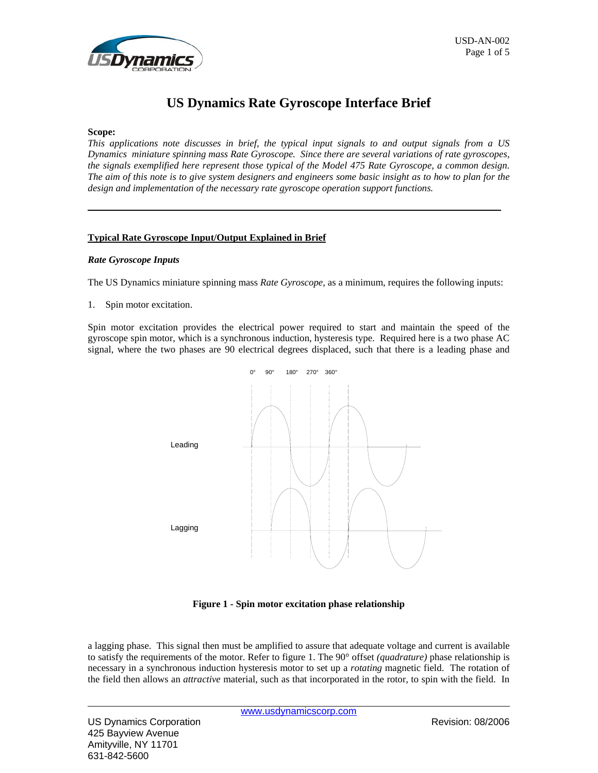

# **US Dynamics Rate Gyroscope Interface Brief**

#### **Scope:**

*This applications note discusses in brief, the typical input signals to and output signals from a US Dynamics miniature spinning mass Rate Gyroscope. Since there are several variations of rate gyroscopes, the signals exemplified here represent those typical of the Model 475 Rate Gyroscope, a common design. The aim of this note is to give system designers and engineers some basic insight as to how to plan for the design and implementation of the necessary rate gyroscope operation support functions.* 

#### **Typical Rate Gyroscope Input/Output Explained in Brief**

#### *Rate Gyroscope Inputs*

The US Dynamics miniature spinning mass *Rate Gyroscope*, as a minimum, requires the following inputs:

1. Spin motor excitation.

Spin motor excitation provides the electrical power required to start and maintain the speed of the gyroscope spin motor, which is a synchronous induction, hysteresis type. Required here is a two phase AC signal, where the two phases are 90 electrical degrees displaced, such that there is a leading phase and



**Figure 1 - Spin motor excitation phase relationship** 

a lagging phase. This signal then must be amplified to assure that adequate voltage and current is available to satisfy the requirements of the motor. Refer to figure 1. The 90° offset *(quadrature)* phase relationship is necessary in a synchronous induction hysteresis motor to set up a *rotating* magnetic field. The rotation of the field then allows an *attractive* material, such as that incorporated in the rotor, to spin with the field. In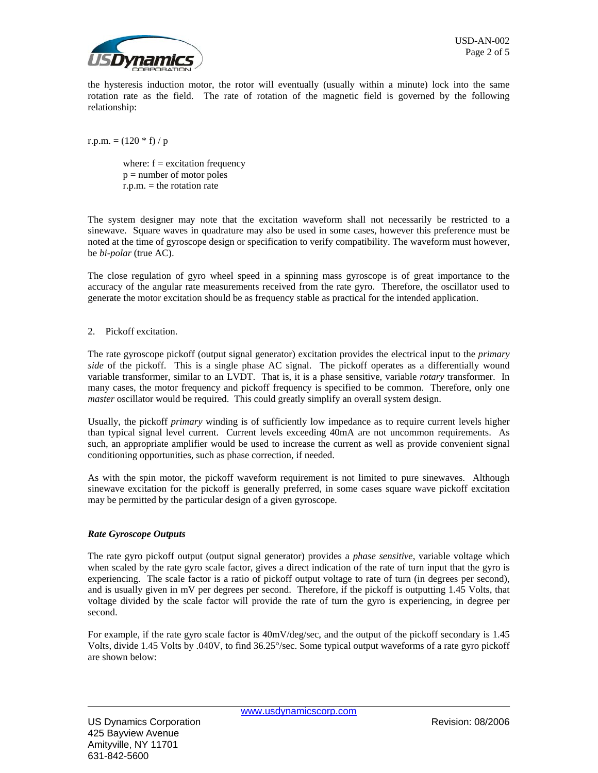

the hysteresis induction motor, the rotor will eventually (usually within a minute) lock into the same rotation rate as the field. The rate of rotation of the magnetic field is governed by the following relationship:

r.p.m.  $= (120 * f)/p$ 

where:  $f =$  excitation frequency  $p =$  number of motor poles  $r.p.m. =$  the rotation rate

The system designer may note that the excitation waveform shall not necessarily be restricted to a sinewave. Square waves in quadrature may also be used in some cases, however this preference must be noted at the time of gyroscope design or specification to verify compatibility. The waveform must however, be *bi-polar* (true AC).

The close regulation of gyro wheel speed in a spinning mass gyroscope is of great importance to the accuracy of the angular rate measurements received from the rate gyro. Therefore, the oscillator used to generate the motor excitation should be as frequency stable as practical for the intended application.

## 2. Pickoff excitation.

The rate gyroscope pickoff (output signal generator) excitation provides the electrical input to the *primary side* of the pickoff. This is a single phase AC signal. The pickoff operates as a differentially wound variable transformer, similar to an LVDT. That is, it is a phase sensitive, variable *rotary* transformer. In many cases, the motor frequency and pickoff frequency is specified to be common. Therefore, only one *master* oscillator would be required. This could greatly simplify an overall system design.

Usually, the pickoff *primary* winding is of sufficiently low impedance as to require current levels higher than typical signal level current. Current levels exceeding 40mA are not uncommon requirements. As such, an appropriate amplifier would be used to increase the current as well as provide convenient signal conditioning opportunities, such as phase correction, if needed.

As with the spin motor, the pickoff waveform requirement is not limited to pure sinewaves. Although sinewave excitation for the pickoff is generally preferred, in some cases square wave pickoff excitation may be permitted by the particular design of a given gyroscope.

## *Rate Gyroscope Outputs*

The rate gyro pickoff output (output signal generator) provides a *phase sensitive*, variable voltage which when scaled by the rate gyro scale factor, gives a direct indication of the rate of turn input that the gyro is experiencing. The scale factor is a ratio of pickoff output voltage to rate of turn (in degrees per second), and is usually given in mV per degrees per second. Therefore, if the pickoff is outputting 1.45 Volts, that voltage divided by the scale factor will provide the rate of turn the gyro is experiencing, in degree per second.

For example, if the rate gyro scale factor is 40mV/deg/sec, and the output of the pickoff secondary is 1.45 Volts, divide 1.45 Volts by .040V, to find 36.25°/sec. Some typical output waveforms of a rate gyro pickoff are shown below: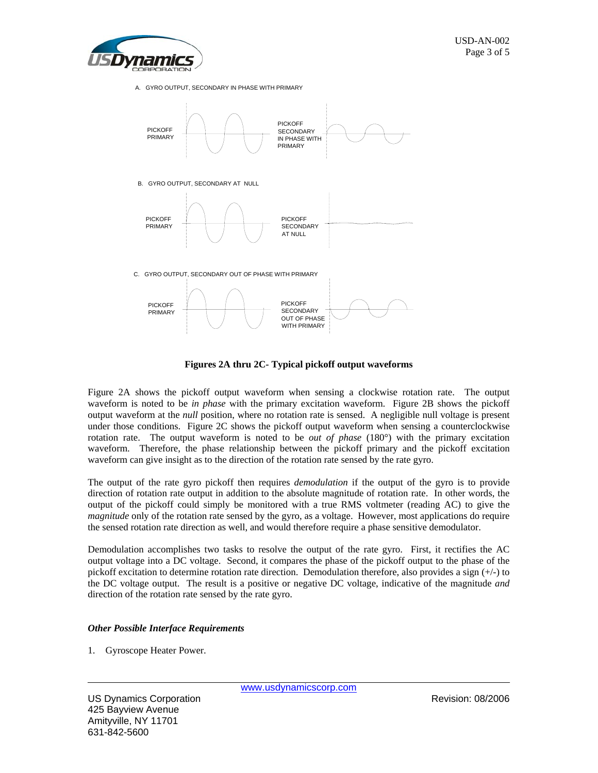

A. GYRO OUTPUT, SECONDARY IN PHASE WITH PRIMARY



**Figures 2A thru 2C- Typical pickoff output waveforms**

Figure 2A shows the pickoff output waveform when sensing a clockwise rotation rate. The output waveform is noted to be *in phase* with the primary excitation waveform. Figure 2B shows the pickoff output waveform at the *null* position, where no rotation rate is sensed. A negligible null voltage is present under those conditions. Figure 2C shows the pickoff output waveform when sensing a counterclockwise rotation rate. The output waveform is noted to be *out of phase* (180°) with the primary excitation waveform. Therefore, the phase relationship between the pickoff primary and the pickoff excitation waveform can give insight as to the direction of the rotation rate sensed by the rate gyro.

The output of the rate gyro pickoff then requires *demodulation* if the output of the gyro is to provide direction of rotation rate output in addition to the absolute magnitude of rotation rate. In other words, the output of the pickoff could simply be monitored with a true RMS voltmeter (reading AC) to give the *magnitude* only of the rotation rate sensed by the gyro, as a voltage. However, most applications do require the sensed rotation rate direction as well, and would therefore require a phase sensitive demodulator.

Demodulation accomplishes two tasks to resolve the output of the rate gyro. First, it rectifies the AC output voltage into a DC voltage. Second, it compares the phase of the pickoff output to the phase of the pickoff excitation to determine rotation rate direction. Demodulation therefore, also provides a sign (+/-) to the DC voltage output. The result is a positive or negative DC voltage, indicative of the magnitude *and*  direction of the rotation rate sensed by the rate gyro.

## *Other Possible Interface Requirements*

1. Gyroscope Heater Power.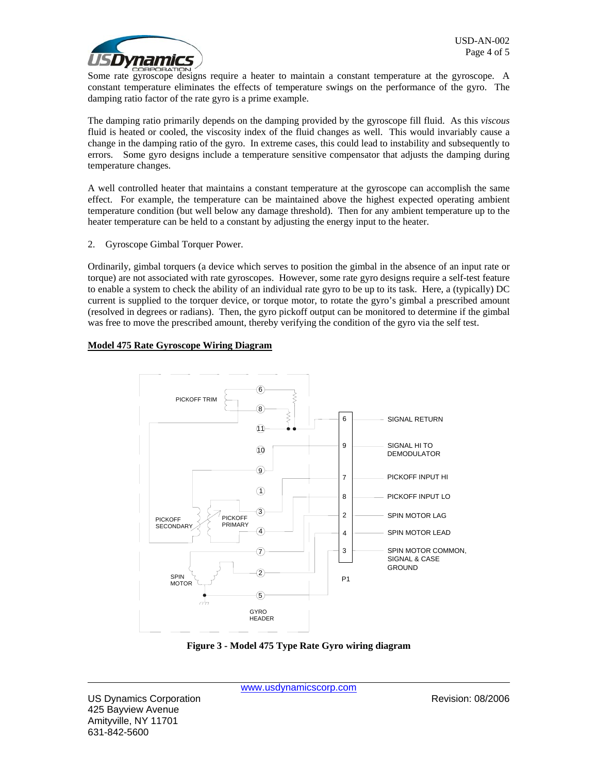

Some rate gyroscope designs require a heater to maintain a constant temperature at the gyroscope. A constant temperature eliminates the effects of temperature swings on the performance of the gyro. The damping ratio factor of the rate gyro is a prime example.

The damping ratio primarily depends on the damping provided by the gyroscope fill fluid. As this *viscous* fluid is heated or cooled, the viscosity index of the fluid changes as well. This would invariably cause a change in the damping ratio of the gyro. In extreme cases, this could lead to instability and subsequently to errors. Some gyro designs include a temperature sensitive compensator that adjusts the damping during temperature changes.

A well controlled heater that maintains a constant temperature at the gyroscope can accomplish the same effect. For example, the temperature can be maintained above the highest expected operating ambient temperature condition (but well below any damage threshold). Then for any ambient temperature up to the heater temperature can be held to a constant by adjusting the energy input to the heater.

2. Gyroscope Gimbal Torquer Power.

Ordinarily, gimbal torquers (a device which serves to position the gimbal in the absence of an input rate or torque) are not associated with rate gyroscopes. However, some rate gyro designs require a self-test feature to enable a system to check the ability of an individual rate gyro to be up to its task. Here, a (typically) DC current is supplied to the torquer device, or torque motor, to rotate the gyro's gimbal a prescribed amount (resolved in degrees or radians). Then, the gyro pickoff output can be monitored to determine if the gimbal was free to move the prescribed amount, thereby verifying the condition of the gyro via the self test.

# **Model 475 Rate Gyroscope Wiring Diagram**



**Figure 3 - Model 475 Type Rate Gyro wiring diagram**